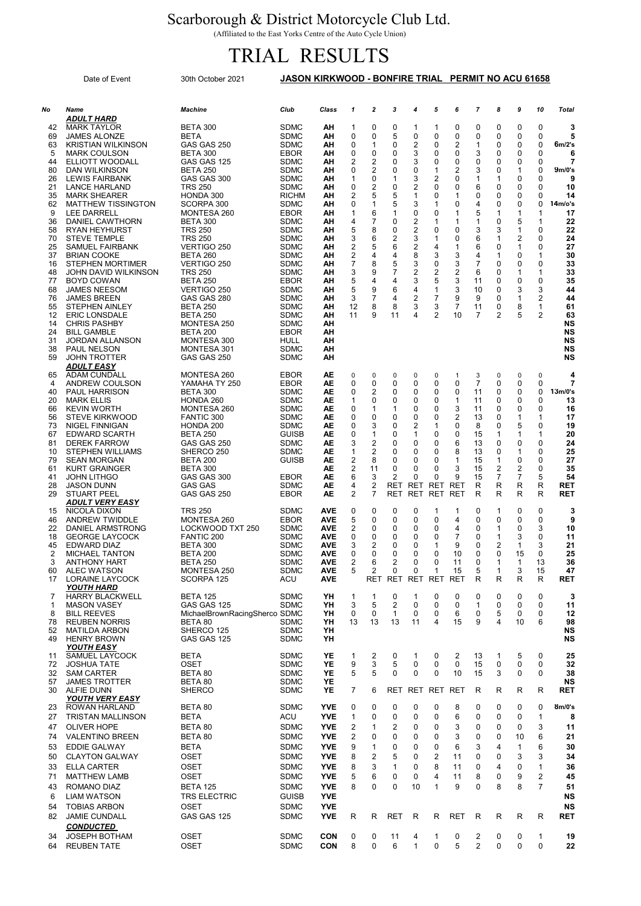## Scarborough & District Motorcycle Club Ltd.

(Affiliated to the East Yorks Centre of the Auto Cycle Union)

## TRIAL RESULTS

|          | Date of Event                                  | 30th October 2021                        | JASON KIRKWOOD - BONFIRE TRIAL PERMIT NO ACU 61658 |                          |                     |                  |                     |              |                     |                     |                   |                     |                         |                      |                          |
|----------|------------------------------------------------|------------------------------------------|----------------------------------------------------|--------------------------|---------------------|------------------|---------------------|--------------|---------------------|---------------------|-------------------|---------------------|-------------------------|----------------------|--------------------------|
| No       | Name                                           | <b>Machine</b>                           | Club                                               | Class                    | $\mathbf{1}$        | $\mathbf{z}$     | 3                   | 4            | 5                   | 6                   | $\overline{7}$    | 8                   | 9                       | 10                   | <b>Total</b>             |
|          | ADULT HARD<br><b>MARK TAYLOR</b>               | <b>BETA 300</b>                          | <b>SDMC</b>                                        | AΗ                       |                     | 0                | 0                   |              | 1                   | 0                   | 0                 | 0                   | 0                       | 0                    | 3                        |
| 42<br>69 | <b>JAMES ALONZE</b>                            | <b>BETA</b>                              | <b>SDMC</b>                                        | AΗ                       | 1<br>0              | 0                | 5                   | 1<br>0       | 0                   | 0                   | 0                 | 0                   | 0                       | 0                    | 5                        |
| 63       | <b>KRISTIAN WILKINSON</b>                      | GAS GAS 250                              | <b>SDMC</b>                                        | ΑН                       | $\mathbf 0$         | $\mathbf{1}$     | 0                   | 2            | 0                   | $\overline{2}$      | 1                 | 0                   | 0                       | 0                    | $6m/2$ 's                |
| 5        | <b>MARK COULSON</b>                            | <b>BETA 300</b>                          | <b>EBOR</b>                                        | AΗ                       | $\mathbf 0$         | 0                | 0                   | 3            | 0                   | 0                   | 3                 | 0                   | 0                       | 0                    | 6                        |
| 44       | ELLIOTT WOODALL                                | GAS GAS 125                              | <b>SDMC</b>                                        | AΗ                       | 2                   | 2                | 0                   | 3            | 0                   | 0                   | 0                 | 0                   | 0                       | 0                    | 7                        |
| 80       | DAN WILKINSON                                  | <b>BETA 250</b>                          | <b>SDMC</b>                                        | ΑН                       | $\mathbf 0$         | 2                | 0                   | 0            | $\mathbf 1$         | 2                   | 3                 | 0                   | $\mathbf 1$<br>$\Omega$ | $\Omega$<br>$\Omega$ | 9 <sub>m</sub> /0's<br>9 |
| 26<br>21 | <b>LEWIS FAIRBANK</b><br><b>LANCE HARLAND</b>  | GAS GAS 300<br><b>TRS 250</b>            | <b>SDMC</b><br><b>SDMC</b>                         | AΗ<br>AΗ                 | 1<br>0              | 0<br>2           | 1<br>0              | 3<br>2       | 2<br>0              | 0<br>0              | 1<br>6            | 1<br>0              | 0                       | 0                    | 10                       |
| 35       | <b>MARK SHEARER</b>                            | HONDA 300                                | <b>RICHM</b>                                       | AΗ                       | 2                   | 5                | 5                   | $\mathbf{1}$ | 0                   | 1                   | 0                 | 0                   | 0                       | $\Omega$             | 14                       |
| 62       | <b>MATTHEW TISSINGTON</b>                      | SCORPA 300                               | <b>SDMC</b>                                        | ΑН                       | $\mathbf 0$         | 1                | 5                   | 3            | 1                   | 0                   | 4                 | 0                   | 0                       | $\Omega$             | 14 <sub>m/o</sub> 's     |
| 9        | <b>LEE DARRELL</b>                             | MONTESA 260                              | <b>EBOR</b>                                        | AΗ                       | 1                   | 6                | 1                   | 0            | 0                   | 1                   | 5                 | 1                   | $\mathbf 1$             | $\mathbf 1$          | 17                       |
| 36<br>58 | DANIEL CAWTHORN<br><b>RYAN HEYHURST</b>        | <b>BETA 300</b><br><b>TRS 250</b>        | <b>SDMC</b><br><b>SDMC</b>                         | AΗ<br>ΑН                 | $\overline{4}$<br>5 | 7<br>8           | 0<br>0              | 2<br>2       | 1<br>0              | 1<br>0              | $\mathbf{1}$<br>3 | 0<br>3              | 5<br>1                  | 1<br>$\mathbf 0$     | 22<br>22                 |
| 70       | <b>STEVE TEMPLE</b>                            | <b>TRS 250</b>                           | <b>SDMC</b>                                        | AΗ                       | 3                   | 6                | 2                   | 3            | 1                   | 0                   | 6                 | 1                   | 2                       | 0                    | 24                       |
| 25       | <b>SAMUEL FAIRBANK</b>                         | VERTIGO 250                              | <b>SDMC</b>                                        | AΗ                       | $\overline{2}$      | 5                | 6                   | 2            | 4                   | 1                   | 6                 | 0                   | $\mathbf 1$             | 0                    | 27                       |
| 37       | <b>BRIAN COOKE</b>                             | <b>BETA 260</b>                          | <b>SDMC</b>                                        | AΗ                       | 2                   | 4                | 4                   | 8            | 3                   | 3                   | 4                 | $\mathbf{1}$        | 0                       | 1                    | 30                       |
| 16       | <b>STEPHEN MORTIMER</b>                        | VERTIGO 250                              | <b>SDMC</b>                                        | ΑН                       | $\overline{7}$      | 8                | 5                   | 3            | 0                   | 3                   | 7                 | 0                   | 0                       | 0                    | 33                       |
| 48<br>77 | JOHN DAVID WILKINSON<br><b>BOYD COWAN</b>      | <b>TRS 250</b><br><b>BETA 250</b>        | <b>SDMC</b><br><b>EBOR</b>                         | AΗ<br>AΗ                 | 3<br>5              | 9<br>4           | 7<br>4              | 2<br>3       | $\overline{2}$<br>5 | $\overline{2}$<br>3 | 6<br>11           | 0<br>0              | $\mathbf 1$<br>0        | 1<br>0               | 33<br>35                 |
| 68       | <b>JAMES NEESOM</b>                            | VERTIGO 250                              | <b>SDMC</b>                                        | ΑН                       | 5                   | 9                | 6                   | 4            | 1                   | 3                   | 10                | 0                   | 3                       | 3                    | 44                       |
| 76       | <b>JAMES BREEN</b>                             | GAS GAS 280                              | <b>SDMC</b>                                        | AΗ                       | 3                   | 7                | 4                   | 2            | 7                   | 9                   | 9                 | 0                   | 1                       | 2                    | 44                       |
| 55       | <b>STEPHEN AINLEY</b>                          | <b>BETA 250</b>                          | <b>SDMC</b>                                        | AΗ                       | 12                  | 8                | 8                   | 3            | 3                   | 7                   | 11                | 0                   | 8                       | 1                    | 61                       |
| 12<br>14 | <b>ERIC LONSDALE</b><br><b>CHRIS PASHBY</b>    | <b>BETA 250</b><br>MONTESA 250           | <b>SDMC</b><br><b>SDMC</b>                         | AΗ<br>AΗ                 | 11                  | 9                | 11                  | 4            | 2                   | 10                  | 7                 | $\overline{2}$      | 5                       | $\overline{2}$       | 63<br>NS                 |
| 24       | <b>BILL GAMBLE</b>                             | BETA 200                                 | EBOR                                               | AΗ                       |                     |                  |                     |              |                     |                     |                   |                     |                         |                      | NS                       |
| 31       | <b>JORDAN ALLANSON</b>                         | MONTESA 300                              | HULL                                               | AΗ                       |                     |                  |                     |              |                     |                     |                   |                     |                         |                      | NS                       |
| 38       | PAUL NELSON                                    | MONTESA 301                              | <b>SDMC</b>                                        | AΗ                       |                     |                  |                     |              |                     |                     |                   |                     |                         |                      | <b>NS</b>                |
| 59       | <b>JOHN TROTTER</b>                            | GAS GAS 250                              | SDMC                                               | AΗ                       |                     |                  |                     |              |                     |                     |                   |                     |                         |                      | NS                       |
| 65       | <b>ADULT EASY</b><br><b>ADAM CUNDALL</b>       | MONTESA 260                              | <b>EBOR</b>                                        | AE                       | 0                   | 0                | 0                   | 0            | $\mathbf 0$         | 1                   | 3                 | 0                   | 0                       | $\mathbf 0$          | 4                        |
| 4        | ANDREW COULSON                                 | YAMAHA TY 250                            | <b>EBOR</b>                                        | AE                       | 0                   | 0                | 0                   | 0            | 0                   | 0                   | $\overline{7}$    | $\mathbf 0$         | 0                       | $\Omega$             | 7                        |
| 40       | <b>PAUL HARRISON</b>                           | <b>BETA 300</b>                          | <b>SDMC</b>                                        | AE                       | 0                   | 2                | 0                   | 0            | $\Omega$            | 0                   | 11                | 0                   | 0                       | $\Omega$             | 13 <sub>m</sub> /0's     |
| 20       | <b>MARK ELLIS</b>                              | HONDA 260                                | <b>SDMC</b>                                        | AE                       | 1                   | 0                | 0                   | 0            | 0                   | 1                   | 11                | 0                   | 0                       | 0                    | 13                       |
| 66       | <b>KEVIN WORTH</b>                             | MONTESA 260                              | <b>SDMC</b>                                        | AE                       | 0                   | 1                | 1                   | 0            | 0                   | 3                   | 11                | 0                   | 0                       | $\mathbf 0$          | 16                       |
| 56<br>73 | <b>STEVE KIRKWOOD</b><br><b>NIGEL FINNIGAN</b> | FANTIC 300<br>HONDA 200                  | <b>SDMC</b><br><b>SDMC</b>                         | AE<br>AE                 | $\mathbf 0$<br>0    | 0<br>3           | $\Omega$<br>0       | 0<br>2       | 0<br>1              | $\overline{2}$<br>0 | 13<br>8           | 0<br>0              | $\mathbf 1$<br>5        | 1<br>0               | 17<br>19                 |
| 67       | <b>EDWARD SCARTH</b>                           | <b>BETA 250</b>                          | <b>GUISB</b>                                       | AE                       | 0                   | 1                | 0                   | $\mathbf{1}$ | 0                   | 0                   | 15                | $\mathbf{1}$        | $\mathbf 1$             | 1                    | 20                       |
| 81       | <b>DEREK FARROW</b>                            | GAS GAS 250                              | <b>SDMC</b>                                        | AE                       | 3                   | 2                | 0                   | 0            | 0                   | 6                   | 13                | 0                   | 0                       | $\Omega$             | 24                       |
| 10       | <b>STEPHEN WILLIAMS</b>                        | SHERCO 250                               | <b>SDMC</b>                                        | AE                       | 1                   | 2                | 0                   | 0            | 0                   | 8                   | 13                | 0                   | 1                       | 0                    | 25                       |
| 79       | <b>SEAN MORGAN</b>                             | <b>BETA 200</b>                          | <b>GUISB</b>                                       | AE                       | 2                   | 8                | 0                   | 0            | 0                   | 1                   | 15                | $\mathbf{1}$        | 0                       | 0                    | 27                       |
| 61<br>41 | <b>KURT GRAINGER</b><br><b>JOHN LITHGO</b>     | <b>BETA 300</b><br>GAS GAS 300           | <b>EBOR</b>                                        | AE<br>AE                 | 2<br>6              | 11<br>3          | 0<br>$\overline{2}$ | 0<br>0       | 0<br>0              | 3<br>9              | 15<br>15          | 2<br>$\overline{7}$ | 2<br>$\overline{7}$     | 0<br>5               | 35<br>54                 |
| 28       | <b>JASON DUNN</b>                              | <b>GAS GAS</b>                           | <b>SDMC</b>                                        | AE                       | 4                   | 2                | <b>RET</b>          | RET          | <b>RET</b>          | <b>RET</b>          | R                 | R                   | R                       | R                    | <b>RET</b>               |
| 29       | <b>STUART PEEL</b>                             | GAS GAS 250                              | <b>EBOR</b>                                        | AE                       | 2                   | 7                | <b>RET</b>          | RET          | RET                 | RET                 | R                 | R                   | R                       | R                    | <b>RET</b>               |
|          | <b>ADULT VERY EASY</b>                         |                                          |                                                    |                          |                     |                  |                     |              |                     |                     |                   |                     |                         |                      |                          |
| 15<br>46 | NICOLA DIXON<br>ANDREW TWIDDLE                 | <b>TRS 250</b><br>MONTESA 260            | <b>SDMC</b><br><b>EBOR</b>                         | <b>AVE</b><br><b>AVE</b> | $\mathbf 0$<br>5    | 0<br>0           | $\mathbf 0$<br>0    | 0<br>0       | $\mathbf 1$<br>0    | 1<br>4              | 0<br>0            | 1<br>0              | 0<br>0                  | 0<br>0               | 3<br>9                   |
| 22       | DANIEL ARMSTRONG                               | <b>LOCKWOOD TXT 250</b>                  | <b>SDMC</b>                                        | <b>AVE</b>               | 2                   | 0                | 0                   | 0            | 0                   | 4                   | 0                 | 1                   | 0                       | 3                    | 10                       |
| 18       | <b>GEORGE LAYCOCK</b>                          | FANTIC 200                               | <b>SDMC</b>                                        | AVE                      | $\mathbf 0$         | 0                | 0                   | 0            | 0                   | $\overline{7}$      | 0                 | $\mathbf{1}$        | 3                       | 0                    | 11                       |
| 45       | <b>EDWARD DIAZ</b>                             | <b>BETA 300</b>                          | <b>SDMC</b>                                        | <b>AVE</b>               | 3                   | 2                | 0                   | 0            | 1                   | 9                   | 0                 | 2                   | 1                       | 3                    | 21                       |
| 2        | MICHAEL TANTON                                 | BETA 200                                 | SDMC                                               | <b>AVE</b>               | 0                   | 0                | U                   | 0            | U                   | 10                  | 0                 | 0                   | 15                      | U                    | 25                       |
| 3<br>60  | <b>ANTHONY HART</b><br><b>ALEC WATSON</b>      | BETA 250<br>MONTESA 250                  | <b>SDMC</b><br><b>SDMC</b>                         | <b>AVE</b><br><b>AVE</b> | 2<br>5              | 6<br>2           | 2<br>0              | 0<br>0       | 0<br>1              | 11<br>15            | 0<br>5            | $\mathbf{1}$<br>1   | 1<br>3                  | 13<br>15             | 36<br>47                 |
| 17       | LORAINE LAYCOCK                                | SCORPA 125                               | ACU                                                | <b>AVE</b>               |                     | RET              |                     | RET RET      | RET                 | <b>RET</b>          | R                 | R                   | R                       | R                    | <b>RET</b>               |
|          | <b>YOUTH HARD</b>                              |                                          |                                                    |                          |                     |                  |                     |              |                     |                     |                   |                     |                         |                      |                          |
| 7        | <b>HARRY BLACKWELL</b>                         | <b>BETA 125</b>                          | <b>SDMC</b>                                        | YH                       | $\mathbf{1}$        | $\mathbf{1}$     | 0                   | $\mathbf{1}$ | 0                   | 0                   | 0                 | 0                   | 0                       | 0                    | 3                        |
| 1<br>8   | <b>MASON VASEY</b><br><b>BILL REEVES</b>       | GAS GAS 125                              | <b>SDMC</b>                                        | YH<br>YH                 | 3<br>$\mathbf 0$    | 5<br>$\mathbf 0$ | 2<br>1              | 0<br>0       | $\Omega$<br>0       | 0<br>6              | 1<br>0            | 0<br>5              | 0<br>0                  | $\Omega$<br>0        | 11<br>12                 |
| 78       | <b>REUBEN NORRIS</b>                           | MichaelBrownRacingSherco SDMC<br>BETA 80 | <b>SDMC</b>                                        | YH                       | 13                  | 13               | 13                  | 11           | 4                   | 15                  | 9                 | 4                   | 10                      | 6                    | 98                       |
| 52       | <b>MATILDA ARBON</b>                           | SHERCO 125                               | <b>SDMC</b>                                        | YH                       |                     |                  |                     |              |                     |                     |                   |                     |                         |                      | NS                       |
| 49       | <b>HENRY BROWN</b>                             | GAS GAS 125                              | <b>SDMC</b>                                        | YH                       |                     |                  |                     |              |                     |                     |                   |                     |                         |                      | NS                       |
| 11       | YOUTH EASY<br><b>SAMUEL LAYCOCK</b>            | <b>BETA</b>                              | <b>SDMC</b>                                        | YE                       | $\mathbf{1}$        | 2                | 0                   | 1            | 0                   | 2                   | 13                | $\mathbf{1}$        | 5                       | 0                    | 25                       |
| 72       | <b>JOSHUA TATE</b>                             | OSET                                     | <b>SDMC</b>                                        | YE                       | 9                   | 3                | 5                   | 0            | 0                   | 0                   | 15                | 0                   | 0                       | $\mathbf 0$          | 32                       |
| 32       | <b>SAM CARTER</b>                              | BETA 80                                  | <b>SDMC</b>                                        | YE                       | 5                   | 5                | 0                   | 0            | 0                   | 10                  | 15                | 3                   | 0                       | 0                    | 38                       |
| 57       | <b>JAMES TROTTER</b>                           | BETA 80                                  | <b>SDMC</b>                                        | YE                       |                     |                  |                     |              |                     |                     |                   |                     |                         |                      | NS                       |
| 30       | ALFIE DUNN                                     | <b>SHERCO</b>                            | <b>SDMC</b>                                        | YE                       | $\overline{7}$      | 6                |                     | RET RET RET  |                     | RET                 | R                 | R                   | R                       | R                    | RET                      |
| 23       | <b>YOUTH VERY EASY</b><br>ROWAN HARLAND        | BETA 80                                  | <b>SDMC</b>                                        | <b>YVE</b>               | 0                   | 0                | 0                   | 0            | 0                   | 8                   | 0                 | 0                   | 0                       | 0                    | 8m/0's                   |
| 27       | <b>TRISTAN MALLINSON</b>                       | <b>BETA</b>                              | ACU                                                | <b>YVE</b>               | $\mathbf{1}$        | 0                | $\mathbf 0$         | 0            | 0                   | 6                   | 0                 | 0                   | 0                       | $\mathbf{1}$         | 8                        |
| 47       | <b>OLIVER HOPE</b>                             | BETA 80                                  | <b>SDMC</b>                                        | <b>YVE</b>               | 2                   | 1                | 2                   | 0            | 0                   | 3                   | 0                 | $\mathbf 0$         | 0                       | 3                    | 11                       |
| 74       | <b>VALENTINO BREEN</b>                         | BETA 80                                  | <b>SDMC</b>                                        | <b>YVE</b>               | 2                   | 0                | 0                   | 0            | $\Omega$            | 3                   | 0                 | 0                   | 10                      | 6                    | 21                       |
| 53       | <b>EDDIE GALWAY</b>                            | <b>BETA</b>                              | <b>SDMC</b>                                        | <b>YVE</b>               | 9                   | 1                | 0                   | 0            | 0                   | 6                   | 3                 | 4                   | $\mathbf{1}$            | 6                    | 30                       |
| 50       | <b>CLAYTON GALWAY</b>                          | <b>OSET</b>                              | <b>SDMC</b>                                        | <b>YVE</b>               | 8                   | 2                | 5                   | 0            | 2                   | 11                  | 0                 | 0                   | 3                       | 3                    | 34                       |
| 33       | <b>ELLA CARTER</b>                             | <b>OSET</b>                              | <b>SDMC</b>                                        | <b>YVE</b>               | 8                   | 3                | 1                   | 0            | 8                   | 11                  | 0                 | 4                   | 0                       | $\mathbf{1}$         | 36                       |
| 71       | <b>MATTHEW LAMB</b>                            | <b>OSET</b>                              | <b>SDMC</b>                                        | <b>YVE</b>               | 5                   | 6                | 0                   | 0            | 4                   | 11                  | 8                 | 0                   | 9                       | 2                    | 45                       |
| 43       | ROMANO DIAZ                                    | <b>BETA 125</b>                          | <b>SDMC</b>                                        | <b>YVE</b>               | 8                   | 0                | $\mathbf 0$         | 10           | $\mathbf{1}$        | 9                   | $\Omega$          | 8                   | 8                       | $\overline{7}$       | 51                       |
| 6        | <b>LIAM WATSON</b>                             | TRS ELECTRIC                             | <b>GUISB</b>                                       | <b>YVE</b>               |                     |                  |                     |              |                     |                     |                   |                     |                         |                      | NS                       |
| 54       | <b>TOBIAS ARBON</b>                            | <b>OSET</b>                              | <b>SDMC</b>                                        | <b>YVE</b>               |                     |                  |                     |              |                     |                     |                   |                     |                         |                      | NS                       |
| 82       | <b>JAMIE CUNDALL</b>                           | GAS GAS 125                              | <b>SDMC</b>                                        | <b>YVE</b>               | R                   | R                | <b>RET</b>          | R            | R                   | <b>RET</b>          | R                 | R                   | R                       | R                    | <b>RET</b>               |
|          | <b>CONDUCTED</b>                               |                                          |                                                    |                          |                     |                  |                     |              |                     |                     |                   |                     |                         |                      |                          |
| 34       | <b>JOSEPH BOTHAM</b>                           | <b>OSET</b>                              | <b>SDMC</b>                                        | <b>CON</b>               | 0                   | 0                | 11                  | 4            | $\mathbf{1}$        | 0                   | 2                 | 0                   | 0                       | $\mathbf{1}$         | 19                       |
| 64       | <b>REUBEN TATE</b>                             | <b>OSET</b>                              | <b>SDMC</b>                                        | <b>CON</b>               | 8                   | 0                | 6                   | $\mathbf{1}$ | 0                   | 5                   | $\overline{2}$    | 0                   | 0                       | 0                    | 22                       |